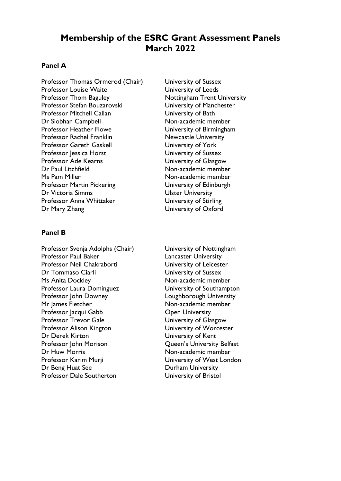# **Membership of the ESRC Grant Assessment Panels March 2022**

# **Panel A**

Professor Thomas Ormerod (Chair) University of Sussex Professor Louise Waite **Value Community** University of Leeds Professor Thom Baguley Mottingham Trent University Professor Stefan Bouzarovski University of Manchester Professor Mitchell Callan **University of Bath** Dr Siobhan Campbell Non-academic member Professor Heather Flowe University of Birmingham Professor Rachel Franklin Newcastle University Professor Gareth Gaskell **Example 20 University of York** Professor Jessica Horst University of Sussex Professor Ade Kearns<br>
Dr Paul Litchfield<br>
Dr Paul Litchfield<br>
University of Glasgow<br>
Non-academic membe Ms Pam Miller Non-academic member Professor Martin Pickering **University of Edinburgh** Dr Victoria Simms Victoria Simms Ulster University Professor Anna Whittaker **University of Stirling** Dr Mary Zhang University of Oxford

### **Panel B**

Professor Svenja Adolphs (Chair) University of Nottingham Professor Paul Baker Lancaster University Professor Neil Chakraborti<br>
University of Leicester Dr Tommaso Ciarli University of Sussex Ms Anita Dockley Non-academic member Professor Laura Dominguez **University of Southampton** Professor John Downey **Loughborough University** Mr James Fletcher Non-academic member Professor Jacqui Gabb **Open University** Professor Trevor Gale View University of Glasgow Professor Alison Kington **University of Worcester** Dr Derek Kirton University of Kent Professor John Morison **Queen's University Belfast** Dr Huw Morris **Non-academic member** Professor Karim Murii **National State University of West London** Dr Beng Huat See Durham University Professor Dale Southerton **University of Bristol** 

Non-academic member